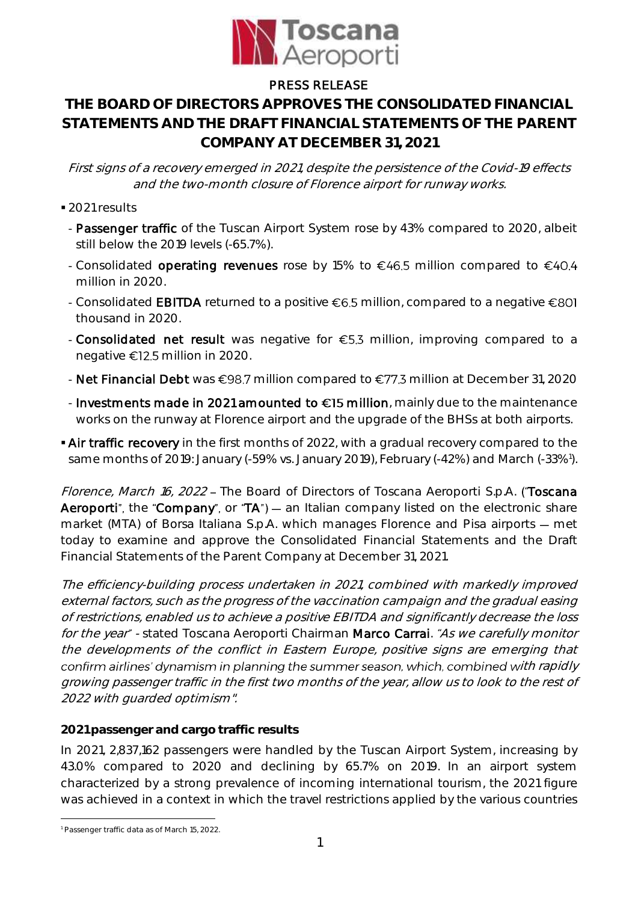

## PRESS RELEASE

# **THE BOARD OF DIRECTORS APPROVES THE CONSOLIDATED FINANCIAL STATEMENTS AND THE DRAFT FINANCIAL STATEMENTS OF THE PARENT COMPANY AT DECEMBER 31, 2021**

First signs of <sup>a</sup> recovery emerged in 2021, despite the persistence of the Covid-19 effects and the two-month closure of Florence airport for runway works.

- 2021 results
- Passenger traffic of the Tuscan Airport System rose by 43% compared to 2020, albeit still below the 2019 levels (-65.7%).
- Consolidated operating revenues rose by 15% to  $\epsilon$ 46.5 million compared to  $\epsilon$ 40.4 million in 2020.
- Consolidated **EBITDA** returned to a positive  $\epsilon$ 6.5 million, compared to a negative  $\epsilon$ 801 thousand in 2020.
- Consolidated net result was negative for  $\epsilon$ 5.3 million, improving compared to a negative  $\epsilon$ 12.5 million in 2020.
- Net Financial Debt was  $\epsilon$ 98.7 million compared to  $\epsilon$ 77.3 million at December 31, 2020
- Investments made in 2021 amounted to  $\epsilon$ 15 million, mainly due to the maintenance works on the runway at Florence airport and the upgrade of the BHSs at both airports.
- Air traffic recovery in the first months of 2022, with a gradual recovery compared to the same months of 2019: January (-59% vs. January 2019), February (-42%) and March (-33%<sup>1</sup>).

Florence, March 16, 2022 - The Board of Directors of Toscana Aeroporti S.p.A. ("Toscana Aeroporti", the "Company", or "TA")  $-$  an Italian company listed on the electronic share market (MTA) of Borsa Italiana S.p.A. which manages Florence and Pisa airports - met today to examine and approve the Consolidated Financial Statements and the Draft Financial Statements of the Parent Company at December 31, 2021.

The efficiency-building process undertaken in 2021, combined with markedly improved external factors, such as the progress of the vaccination campaign and the gradual easing of restrictions, enabled us to achieve a positive EBITDA and significantly decrease the loss for the year" - stated Toscana Aeroporti Chairman Marco Carrai. "As we carefully monitor the developments of the conflict in Eastern Europe, positive signs are emerging that confirm airlines' dynamism in planning the summer season, which, combined with rapidly growing passenger traffic in the first two months of the year, allow us to look to the rest of 2022 with guarded optimism".

### **2021 passenger and cargo traffic results**

In 2021, 2,837,162 passengers were handled by the Tuscan Airport System, increasing by 43.0% compared to 2020 and declining by 65.7% on 2019. In an airport system characterized by a strong prevalence of incoming international tourism, the 2021 figure was achieved in a context in which the travel restrictions applied by the various countries

<sup>1</sup> <sup>1</sup> Passenger traffic data as of March 15, 2022.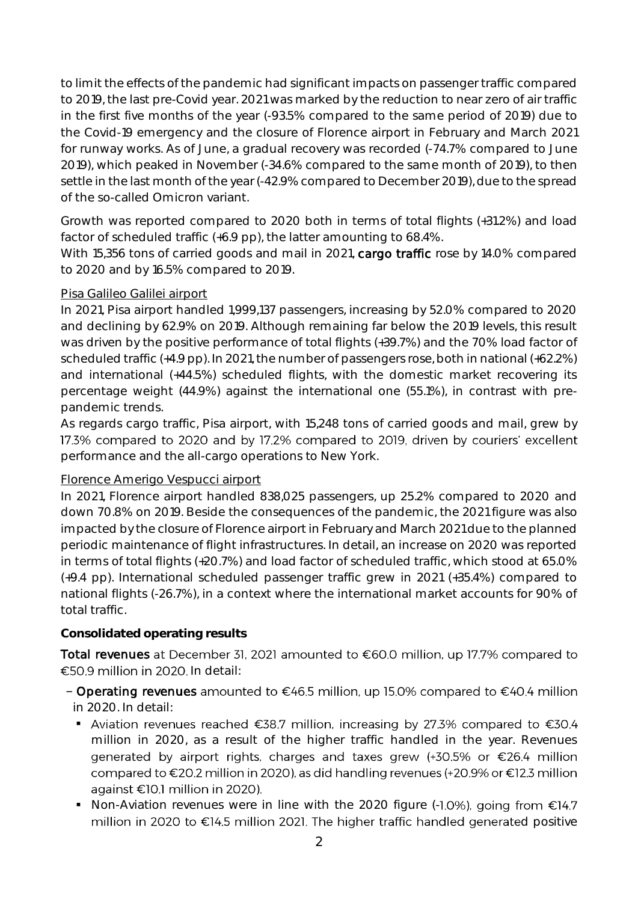to limit the effects of the pandemic had significant impacts on passenger traffic compared to 2019, the last pre-Covid year. 2021 was marked by the reduction to near zero of air traffic in the first five months of the year (-93.5% compared to the same period of 2019) due to the Covid-19 emergency and the closure of Florence airport in February and March 2021 for runway works. As of June, a gradual recovery was recorded (-74.7% compared to June 2019), which peaked in November (-34.6% compared to the same month of 2019), to then settle in the last month of the year (-42.9% compared to December 2019), due to the spread of the so-called Omicron variant.

Growth was reported compared to 2020 both in terms of total flights (+31.2%) and load factor of scheduled traffic (+6.9 pp), the latter amounting to 68.4%.

With 15,356 tons of carried goods and mail in 2021, cargo traffic rose by 14.0% compared to 2020 and by 16.5% compared to 2019.

### Pisa Galileo Galilei airport

In 2021, Pisa airport handled 1,999,137 passengers, increasing by 52.0% compared to 2020 and declining by 62.9% on 2019. Although remaining far below the 2019 levels, this result was driven by the positive performance of total flights (+39.7%) and the 70% load factor of scheduled traffic (+4.9 pp). In 2021, the number of passengers rose, both in national (+62.2%) and international (+44.5%) scheduled flights, with the domestic market recovering its percentage weight (44.9%) against the international one (55.1%), in contrast with prepandemic trends.

As regards cargo traffic, Pisa airport, with 15,248 tons of carried goods and mail, grew by 17.3% compared to 2020 and by 17.2% compared to 2019, driven by couriers' excellent performance and the all-cargo operations to New York.

### Florence Amerigo Vespucci airport

In 2021, Florence airport handled 838,025 passengers, up 25.2% compared to 2020 and down 70.8% on 2019. Beside the consequences of the pandemic, the 2021 figure was also impacted by the closure of Florence airport in February and March 2021 due to the planned periodic maintenance of flight infrastructures. In detail, an increase on 2020 was reported in terms of total flights (+20.7%) and load factor of scheduled traffic, which stood at 65.0% (+9.4 pp). International scheduled passenger traffic grew in 2021 (+35.4%) compared to national flights (-26.7%), in a context where the international market accounts for 90% of total traffic.

### **Consolidated operating results**

Total revenues at December 31, 2021 amounted to €60.0 million, up 17.7% compared to  $\epsilon$ 50.9 million in 2020. In detail:

- Operating revenues amounted to  $\epsilon$ 46.5 million, up 15.0% compared to  $\epsilon$ 40.4 million in 2020. In detail:
	- Aviation revenues reached €38.7 million, increasing by 27.3% compared to €30.4 million in 2020, as a result of the higher traffic handled in the year. Revenues generated by airport rights, charges and taxes grew (+30.5% or €26.4 million compared to €20.2 million in 2020), as did handling revenues (+20.9% or €12.3 million against €10.1 million in 2020).
	- Non-Aviation revenues were in line with the 2020 figure (-1.0%), going from  $\epsilon$ 14.7 million in 2020 to €14.5 million 2021. The higher traffic handled generated positive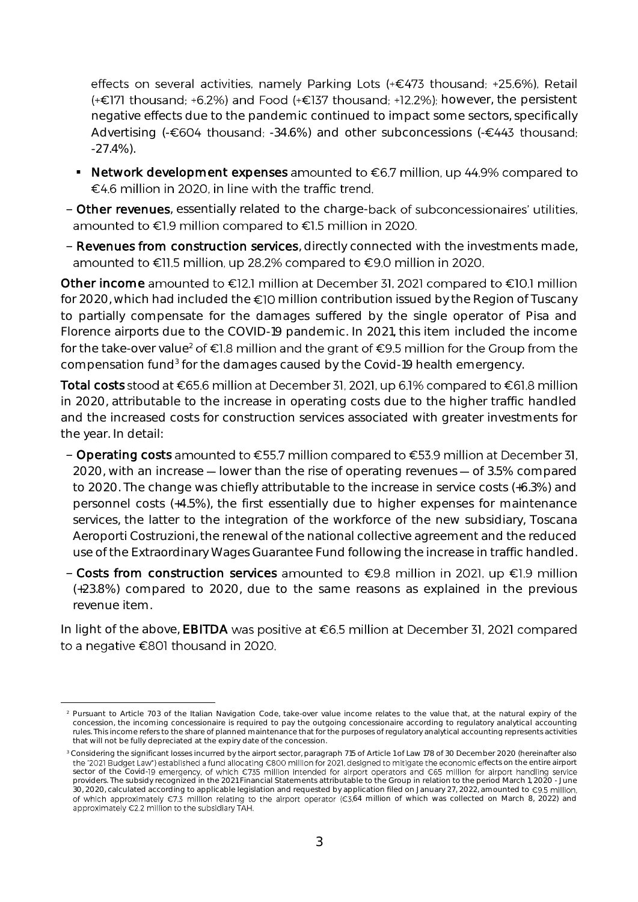effects on several activities, namely Parking Lots (+€473 thousand; +25.6%), Retail  $(+\epsilon$ 171 thousand; +6.2%) and Food  $(+\epsilon)$ 137 thousand; +12.2%); however, the persistent negative effects due to the pandemic continued to impact some sectors, specifically Advertising (- $\epsilon$ 604 thousand; -34.6%) and other subconcessions (- $\epsilon$ 443 thousand; -27.4%).

- Network development expenses amounted to  $\epsilon$ 6.7 million, up 44.9% compared to €4.6 million in 2020, in line with the traffic trend.
- Other revenues, essentially related to the charge-back of subconcessionaires' utilities, amounted to €1.9 million compared to €1.5 million in 2020.
- Revenues from construction services, directly connected with the investments made, amounted to €11.5 million, up 28.2% compared to €9.0 million in 2020.

Other income amounted to €12.1 million at December 31, 2021 compared to €10.1 million for 2020, which had included the  $\epsilon$ 10 million contribution issued by the Region of Tuscany to partially compensate for the damages suffered by the single operator of Pisa and Florence airports due to the COVID-19 pandemic. In 2021, this item included the income for the take-over value<sup>2</sup> of  $\epsilon$ 1.8 million and the grant of  $\epsilon$ 9.5 million for the Group from the compensation fund<sup>3</sup> for the damages caused by the Covid-19 health emergency.

Total costs stood at €65.6 million at December 31, 2021, up 6.1% compared to €61.8 million in 2020, attributable to the increase in operating costs due to the higher traffic handled and the increased costs for construction services associated with greater investments for the year. In detail:

- Operating costs amounted to  $\epsilon$ 55.7 million compared to  $\epsilon$ 53.9 million at December 31, 2020, with an increase  $-$  lower than the rise of operating revenues  $-$  of 3.5% compared to 2020. The change was chiefly attributable to the increase in service costs (+6.3%) and personnel costs (+4.5%), the first essentially due to higher expenses for maintenance services, the latter to the integration of the workforce of the new subsidiary, Toscana Aeroporti Costruzioni, the renewal of the national collective agreement and the reduced use of the Extraordinary Wages Guarantee Fund following the increase in traffic handled.
- Costs from construction services amounted to  $\epsilon$ 9.8 million in 2021, up  $\epsilon$ 1.9 million (+23.8%) compared to 2020, due to the same reasons as explained in the previous revenue item.

In light of the above, EBITDA was positive at  $\epsilon$ 6.5 million at December 31, 2021 compared to a negative €801 thousand in 2020.

<u>.</u>

<sup>&</sup>lt;sup>2</sup> Pursuant to Article 703 of the Italian Navigation Code, take-over value income relates to the value that, at the natural expiry of the concession, the incoming concessionaire is required to pay the outgoing concessionaire according to regulatory analytical accounting rules. This income refers to the share of planned maintenance that for the purposes of regulatory analytical accounting represents activities that will not be fully depreciated at the expiry date of the concession.

<sup>3</sup> Considering the significant losses incurred by the airport sector, paragraph 715 of Article 1 of Law 178 of 30 December 2020 (hereinafter also fects on the entire airport sector of the Covid-19 emergency, of which €735 million intended for airport operators and €65 million for airport handling service providers. The subsidy recognized in the 2021 Financial Statements attributable to the Group in relation to the period March 1, 2020 - June 30, 2020, calculated according to applicable legislation and requested by application filed on January 27, 2022, amounted to €9.5 million, of which approximately €7.3 million relating to the airport operator (€3.64 million of which was collected on March 8, 2022) and approximately €2.2 million to the subsidiary TAH.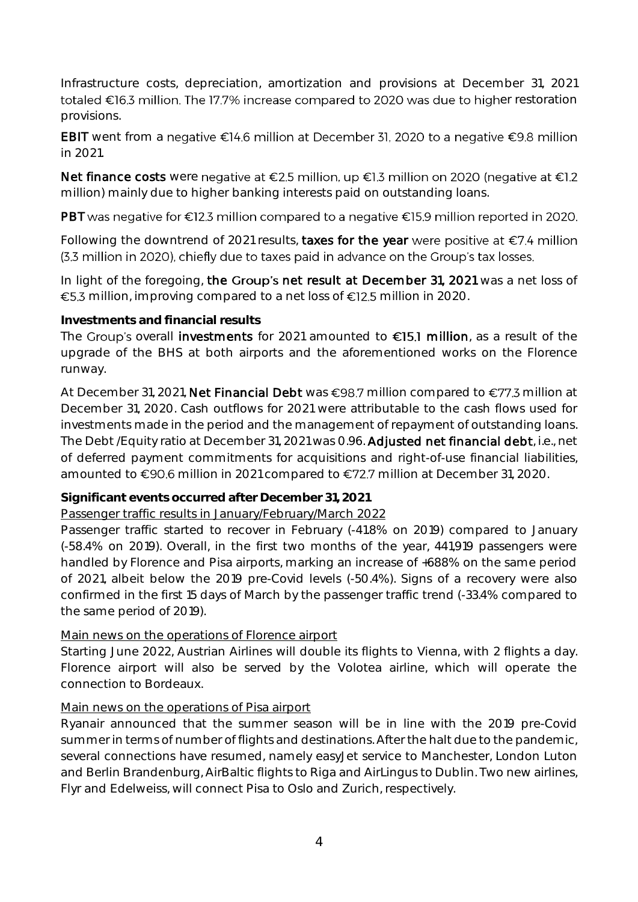Infrastructure costs, depreciation, amortization and provisions at December 31, 2021 totaled €16.3 million. The 17.7% increase compared to 2020 was due to higher restoration provisions.

EBIT went from a negative  $\epsilon$ 14.6 million at December 31, 2020 to a negative  $\epsilon$ 9.8 million in 2021.

Net finance costs were negative at €2.5 million, up €1.3 million on 2020 (negative at €1.2 million) mainly due to higher banking interests paid on outstanding loans.

PBT was negative for €12.3 million compared to a negative €15.9 million reported in 2020.

Following the downtrend of 2021 results, taxes for the year were positive at  $\epsilon$ 7.4 million (3.3 million in 2020), chiefly due to taxes paid in advance on the Group's tax losses.

In light of the foregoing, the Group's net result at December 31, 2021 was a net loss of €5.3 million, improving compared to a net loss of  $€12.5$  million in 2020.

#### **Investments and financial results**

The Group's overall investments for 2021 amounted to  $\epsilon$ 15.1 million, as a result of the upgrade of the BHS at both airports and the aforementioned works on the Florence runway.

At December 31, 2021, Net Financial Debt was  $\epsilon$ 98.7 million compared to  $\epsilon$ 77.3 million at December 31, 2020. Cash outflows for 2021 were attributable to the cash flows used for investments made in the period and the management of repayment of outstanding loans. The Debt /Equity ratio at December 31, 2021 was 0.96. Adjusted net financial debt, i.e., net of deferred payment commitments for acquisitions and right-of-use financial liabilities, amounted to €90.6 million in 2021 compared to €72.7 million at December 31, 2020.

**Significant events occurred after December 31, 2021**

### Passenger traffic results in January/February/March 2022

Passenger traffic started to recover in February (-41.8% on 2019) compared to January (-58.4% on 2019). Overall, in the first two months of the year, 441,919 passengers were handled by Florence and Pisa airports, marking an increase of +688% on the same period of 2021, albeit below the 2019 pre-Covid levels (-50.4%). Signs of a recovery were also confirmed in the first 15 days of March by the passenger traffic trend (-33.4% compared to the same period of 2019).

### Main news on the operations of Florence airport

Starting June 2022, Austrian Airlines will double its flights to Vienna, with 2 flights a day. Florence airport will also be served by the Volotea airline, which will operate the connection to Bordeaux.

### Main news on the operations of Pisa airport

Ryanair announced that the summer season will be in line with the 2019 pre-Covid summer in terms of number of flights and destinations. After the halt due to the pandemic, several connections have resumed, namely easyJet service to Manchester, London Luton and Berlin Brandenburg, AirBaltic flights to Riga and AirLingus to Dublin. Two new airlines, Flyr and Edelweiss, will connect Pisa to Oslo and Zurich, respectively.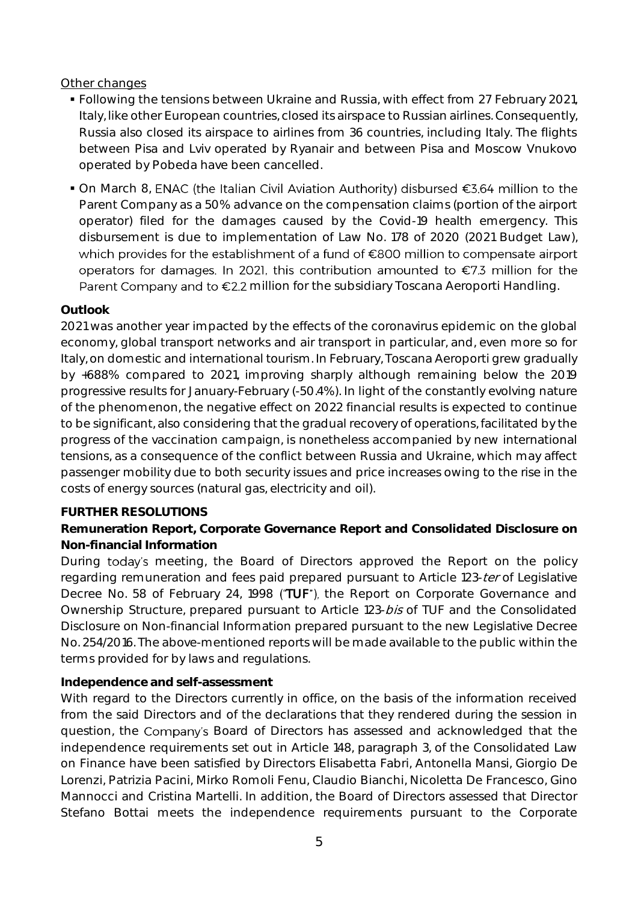#### Other changes

- Following the tensions between Ukraine and Russia, with effect from 27 February 2021, Italy, like other European countries, closed its airspace to Russian airlines. Consequently, Russia also closed its airspace to airlines from 36 countries, including Italy. The flights between Pisa and Lviv operated by Ryanair and between Pisa and Moscow Vnukovo operated by Pobeda have been cancelled.
- On March 8, ENAC (the Italian Civil Aviation Authority) disbursed €3.64 million to the Parent Company as a 50% advance on the compensation claims (portion of the airport operator) filed for the damages caused by the Covid-19 health emergency. This disbursement is due to implementation of Law No. 178 of 2020 (2021 Budget Law), which provides for the establishment of a fund of €800 million to compensate airport operators for damages. In 2021, this contribution amounted to €7.3 million for the Parent Company and to €2.2 million for the subsidiary Toscana Aeroporti Handling.

#### **Outlook**

2021 was another year impacted by the effects of the coronavirus epidemic on the global economy, global transport networks and air transport in particular, and, even more so for Italy, on domestic and international tourism. In February, Toscana Aeroporti grew gradually by +688% compared to 2021, improving sharply although remaining below the 2019 progressive results for January-February (-50.4%). In light of the constantly evolving nature of the phenomenon, the negative effect on 2022 financial results is expected to continue to be significant, also considering that the gradual recovery of operations, facilitated by the progress of the vaccination campaign, is nonetheless accompanied by new international tensions, as a consequence of the conflict between Russia and Ukraine, which may affect passenger mobility due to both security issues and price increases owing to the rise in the costs of energy sources (natural gas, electricity and oil).

#### **FURTHER RESOLUTIONS**

**Remuneration Report, Corporate Governance Report and Consolidated Disclosure on Non-financial Information**

During today's meeting, the Board of Directors approved the Report on the policy regarding remuneration and fees paid prepared pursuant to Article 123-ter of Legislative Decree No. 58 of February 24, 1998 ("TUF"), the Report on Corporate Governance and Ownership Structure, prepared pursuant to Article 123-bis of TUF and the Consolidated Disclosure on Non-financial Information prepared pursuant to the new Legislative Decree No. 254/2016. The above-mentioned reports will be made available to the public within the terms provided for by laws and regulations.

### **Independence and self-assessment**

With regard to the Directors currently in office, on the basis of the information received from the said Directors and of the declarations that they rendered during the session in question, the Company's Board of Directors has assessed and acknowledged that the independence requirements set out in Article 148, paragraph 3, of the Consolidated Law on Finance have been satisfied by Directors Elisabetta Fabri, Antonella Mansi, Giorgio De Lorenzi, Patrizia Pacini, Mirko Romoli Fenu, Claudio Bianchi, Nicoletta De Francesco, Gino Mannocci and Cristina Martelli. In addition, the Board of Directors assessed that Director Stefano Bottai meets the independence requirements pursuant to the Corporate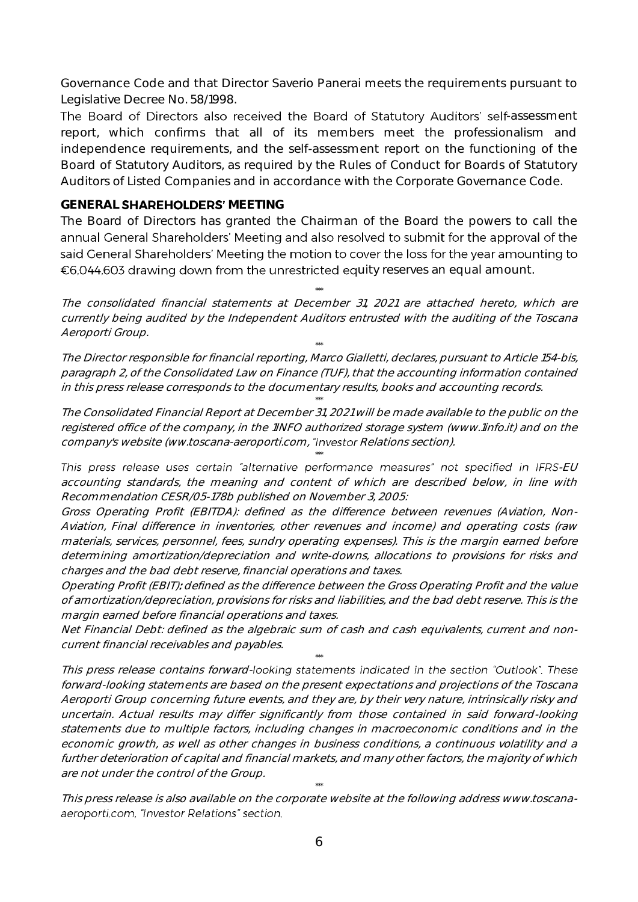Governance Code and that Director Saverio Panerai meets the requirements pursuant to Legislative Decree No. 58/1998.

The Board of Directors also received the Board of Statutory Auditors' self-assessment report, which confirms that all of its members meet the professionalism and independence requirements, and the self-assessment report on the functioning of the Board of Statutory Auditors, as required by the Rules of Conduct for Boards of Statutory Auditors of Listed Companies and in accordance with the Corporate Governance Code.

#### **GENERAL SHAREHOLDERS' MEETING**

The Board of Directors has granted the Chairman of the Board the powers to call the annual General Shareholders' Meeting and also resolved to submit for the approval of the said General Shareholders' Meeting the motion to cover the loss for the year amounting to  $\epsilon$ 6,044,603 drawing down from the unrestricted equity reserves an equal amount.

The consolidated financial statements at December 31, 2021 are attached hereto, which are currently being audited by the Independent Auditors entrusted with the auditing of the Toscana Aeroporti Group.

\*\*\*

\*\*\*

The Director responsible for financial reporting, Marco Gialletti, declares, pursuant to Article 154-bis, paragraph 2, of the Consolidated Law on Finance (TUF), that the accounting information contained in this press release corresponds to the documentary results, books and accounting records.

\*\*\*

The Consolidated Financial Report at December 31, 2021 will be made available to the public on the registered office of the company, in the 1INFO authorized storage system (www.1info.it) and on the company's website (ww.toscana-aeroporti.com, "Investor Relations section).

This press release uses certain "alternative performance measures" not specified in IFRS-EU accounting standards, the meaning and content of which are described below, in line with Recommendation CESR/05-178b published on November 3, 2005:

\*\*\*

Gross Operating Profit (EBITDA): defined as the difference between revenues (Aviation, Non-Aviation, Final difference in inventories, other revenues and income) and operating costs (raw materials, services, personnel, fees, sundry operating expenses). This is the margin earned before determining amortization/depreciation and write-downs, allocations to provisions for risks and charges and the bad debt reserve, financial operations and taxes.

Operating Profit (EBIT): defined as the difference between the Gross Operating Profit and the value of amortization/depreciation, provisions for risks and liabilities, and the bad debt reserve. This is the margin earned before financial operations and taxes.

Net Financial Debt: defined as the algebraic sum of cash and cash equivalents, current and noncurrent financial receivables and payables. \*\*\*

This press release contains forward-looking statements indicated in the section "Outlook". These forward-looking statements are based on the present expectations and projections of the Toscana Aeroporti Group concerning future events, and they are, by their very nature, intrinsically risky and uncertain. Actual results may differ significantly from those contained in said forward-looking statements due to multiple factors, including changes in macroeconomic conditions and in the economic growth, as well as other changes in business conditions, a continuous volatility and a further deterioration of capital and financial markets, and many other factors, the majority of which are not under the control of the Group.

\*\*\* This press release is also available on the corporate website at the following address www.toscana aeroporti.com, "Investor Relations" section.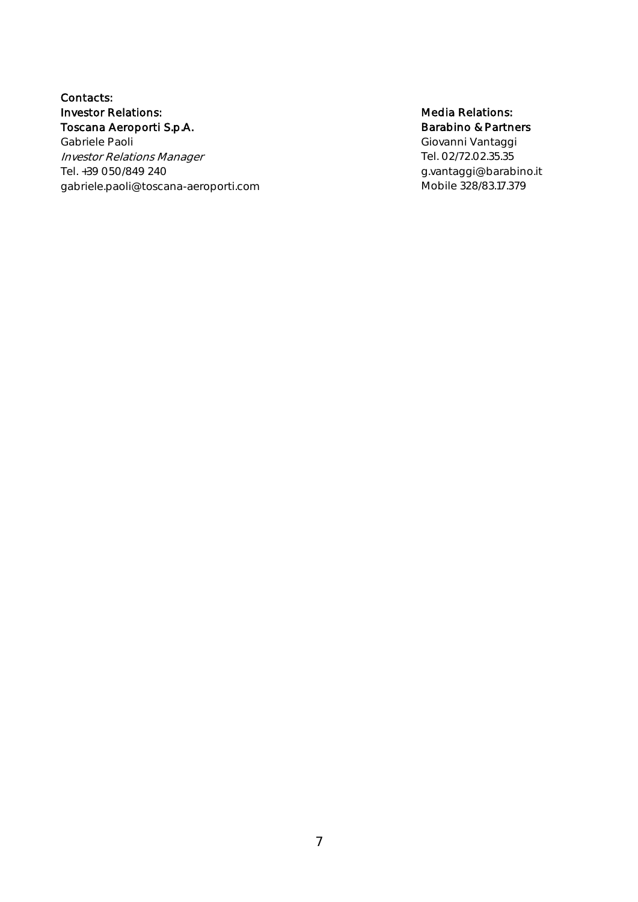#### Contacts: Investor Relations: Toscana Aeroporti S.p.A.

Gabriele Paoli Investor Relations Manager Tel. +39 050/849 240 gabriele.paoli@toscana-aeroporti.com

#### Media Relations: Barabino & Partners

Giovanni Vantaggi Tel. 02/72.02.35.35 g.vantaggi@barabino.it Mobile 328/83.17.379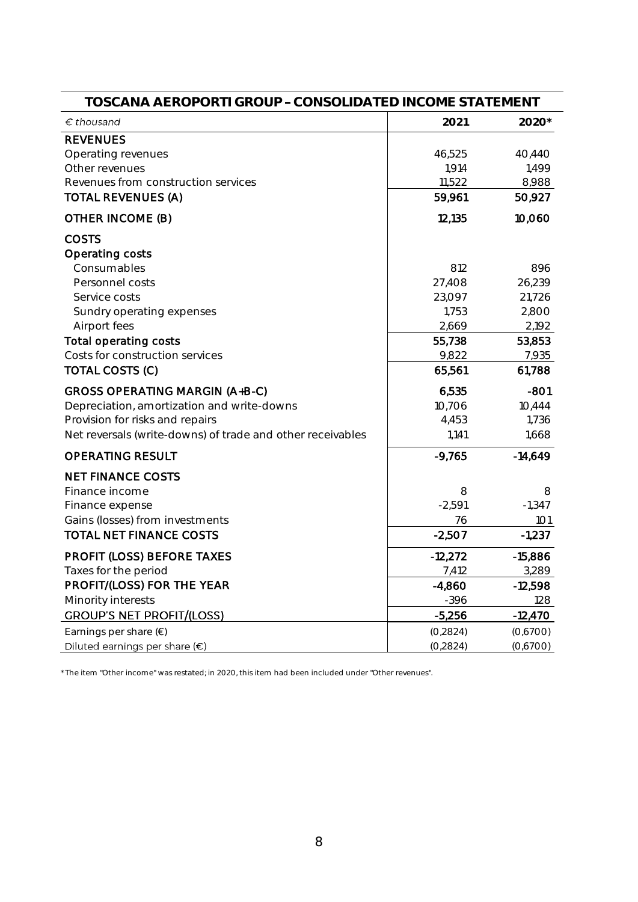| TOSCANA AEROPORTI GROUP - CONSOLIDATED INCOME STATEMENT                                                                                                                       |                                           |                                           |  |  |
|-------------------------------------------------------------------------------------------------------------------------------------------------------------------------------|-------------------------------------------|-------------------------------------------|--|--|
| $\epsilon$ thousand                                                                                                                                                           | 2021                                      | 2020*                                     |  |  |
| <b>REVENUES</b><br>Operating revenues<br>Other revenues<br>Revenues from construction services<br><b>TOTAL REVENUES (A)</b>                                                   | 46,525<br>1,914<br>11,522<br>59,961       | 40,440<br>1,499<br>8,988<br>50,927        |  |  |
| OTHER INCOME (B)                                                                                                                                                              | 12,135                                    | 10,060                                    |  |  |
| <b>COSTS</b><br>Operating costs<br>Consumables<br>Personnel costs<br>Service costs<br>Sundry operating expenses                                                               | 812<br>27,408<br>23,097<br>1,753<br>2,669 | 896<br>26,239<br>21,726<br>2,800<br>2,192 |  |  |
| Airport fees<br>Total operating costs<br>Costs for construction services<br><b>TOTAL COSTS (C)</b>                                                                            | 55,738<br>9,822<br>65,561                 | 53,853<br>7,935<br>61,788                 |  |  |
| GROSS OPERATING MARGIN (A+B-C)<br>Depreciation, amortization and write-downs<br>Provision for risks and repairs<br>Net reversals (write-downs) of trade and other receivables | 6,535<br>10,706<br>4,453<br>1,141         | $-801$<br>10,444<br>1,736<br>1,668        |  |  |
| <b>OPERATING RESULT</b>                                                                                                                                                       | $-9,765$                                  | $-14,649$                                 |  |  |
| <b>NET FINANCE COSTS</b><br>Finance income<br>Finance expense<br>Gains (losses) from investments<br><b>TOTAL NET FINANCE COSTS</b>                                            | 8<br>$-2,591$<br>76<br>$-2,507$           | 8<br>$-1,347$<br>101<br>$-1,237$          |  |  |
| PROFIT (LOSS) BEFORE TAXES<br>Taxes for the period                                                                                                                            | $-12,272$<br>7,412                        | $-15,886$<br>3,289                        |  |  |
| PROFIT/(LOSS) FOR THE YEAR<br>Minority interests                                                                                                                              | $-4,860$<br>$-396$                        | $-12,598$<br>128                          |  |  |
| <b>GROUP'S NET PROFIT/(LOSS)</b>                                                                                                                                              | $-5,256$                                  | $-12,470$                                 |  |  |
| Earnings per share $(\epsilon)$<br>Diluted earnings per share $(\epsilon)$                                                                                                    | (0, 2824)<br>(0, 2824)                    | (0,6700)<br>(0,6700)                      |  |  |

\* The item "Other income" was restated; in 2020, this item had been included under "Other revenues".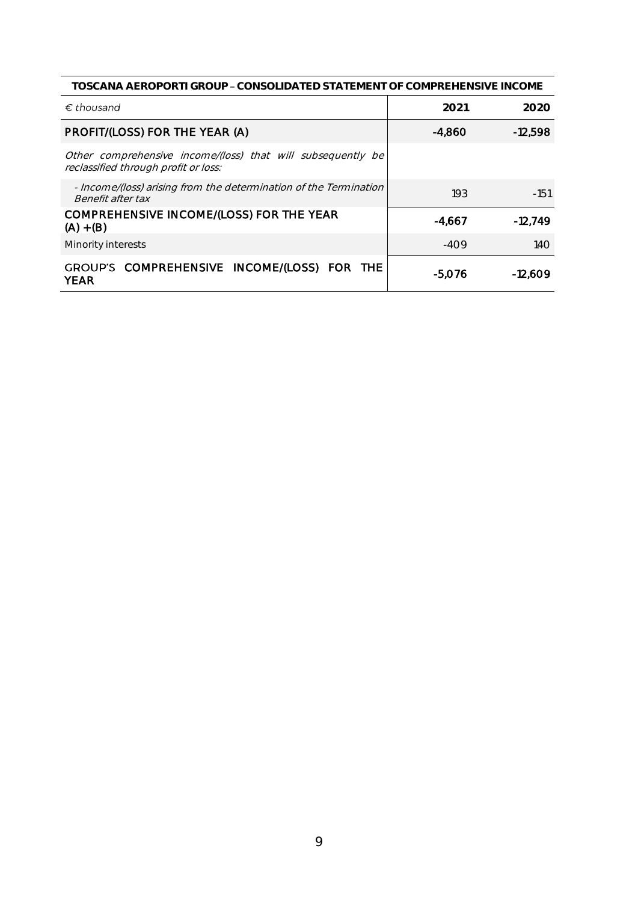| TOSCANA AEROPORTI GROUP – CONSOLIDATED STATEMENT OF COMPREHENSIVE INCOME                            |          |           |  |  |
|-----------------------------------------------------------------------------------------------------|----------|-----------|--|--|
| $\epsilon$ thousand                                                                                 | 2021     | 2020      |  |  |
| PROFIT/(LOSS) FOR THE YEAR (A)                                                                      | $-4,860$ | $-12,598$ |  |  |
| Other comprehensive income/(loss) that will subsequently be<br>reclassified through profit or loss: |          |           |  |  |
| - Income/(loss) arising from the determination of the Termination<br>Benefit after tax              | 193      | $-151$    |  |  |
| COMPREHENSIVE INCOME/(LOSS) FOR THE YEAR<br>$(A) + (B)$                                             | -4.667   | $-12,749$ |  |  |
| Minority interests                                                                                  | -409     | 14O       |  |  |
| GROUP'S COMPREHENSIVE INCOME/(LOSS) FOR THE<br><b>YEAR</b>                                          | -5,076   | $-12.609$ |  |  |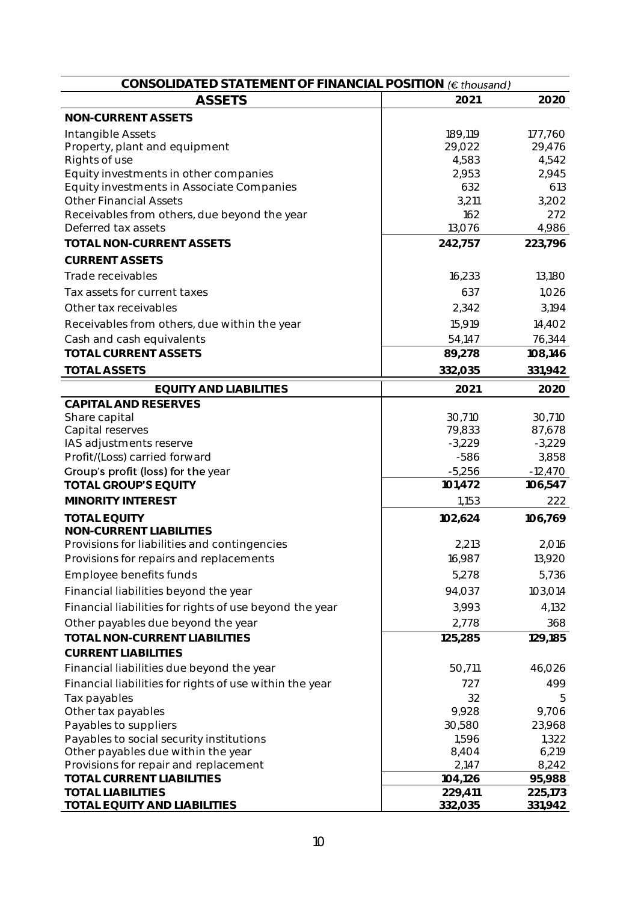| CONSOLIDATED STATEMENT OF FINANCIAL POSITION (€ thousand) |          |           |
|-----------------------------------------------------------|----------|-----------|
| <b>ASSETS</b>                                             | 2021     | 2020      |
| NON-CURRENT ASSETS                                        |          |           |
| Intangible Assets                                         | 189,119  | 177,760   |
| Property, plant and equipment                             | 29,022   | 29,476    |
| Rights of use                                             | 4,583    | 4,542     |
| Equity investments in other companies                     | 2,953    | 2,945     |
| Equity investments in Associate Companies                 | 632      | 613       |
| <b>Other Financial Assets</b>                             | 3,211    | 3,202     |
| Receivables from others, due beyond the year              | 162      | 272       |
| Deferred tax assets                                       | 13,076   | 4,986     |
| TOTAL NON-CURRENT ASSETS                                  | 242,757  | 223,796   |
| <b>CURRENT ASSETS</b>                                     |          |           |
| Trade receivables                                         | 16,233   | 13,180    |
| Tax assets for current taxes                              | 637      | 1,026     |
| Other tax receivables                                     | 2,342    | 3,194     |
| Receivables from others, due within the year              | 15,919   | 14,402    |
| Cash and cash equivalents                                 | 54,147   | 76,344    |
| <b>TOTAL CURRENT ASSETS</b>                               | 89,278   | 108,146   |
| <b>TOTAL ASSETS</b>                                       | 332,035  | 331,942   |
| <b>EQUITY AND LIABILITIES</b>                             | 2021     | 2020      |
| CAPITAL AND RESERVES                                      |          |           |
| Share capital                                             | 30,710   | 30,710    |
| Capital reserves                                          | 79,833   | 87,678    |
| IAS adjustments reserve                                   | $-3,229$ | $-3,229$  |
| Profit/(Loss) carried forward                             | $-586$   | 3,858     |
| Group's profit (loss) for the year                        | $-5,256$ | $-12,470$ |
| <b>TOTAL GROUP'S EQUITY</b>                               | 101,472  | 106,547   |
| MINORITY INTEREST                                         | 1,153    | 222       |
| <b>TOTAL EQUITY</b>                                       | 102,624  | 106,769   |
| NON-CURRENT LIABILITIES                                   |          |           |
| Provisions for liabilities and contingencies              | 2,213    | 2,016     |
| Provisions for repairs and replacements                   | 16,987   | 13,920    |
| Employee benefits funds                                   | 5,278    | 5,736     |
| Financial liabilities beyond the year                     | 94,037   | 103,014   |
| Financial liabilities for rights of use beyond the year   | 3,993    | 4,132     |
| Other payables due beyond the year                        | 2,778    | 368       |
| TOTAL NON-CURRENT LIABILITIES                             | 125,285  | 129,185   |
| <b>CURRENT LIABILITIES</b>                                |          |           |
| Financial liabilities due beyond the year                 | 50,711   | 46,026    |
| Financial liabilities for rights of use within the year   | 727      | 499       |
| Tax payables                                              | 32       | 5         |
| Other tax payables                                        | 9,928    | 9,706     |
| Payables to suppliers                                     | 30,580   | 23,968    |
| Payables to social security institutions                  | 1,596    | 1,322     |
| Other payables due within the year                        | 8,404    | 6,219     |
| Provisions for repair and replacement                     | 2,147    | 8,242     |
| TOTAL CURRENT LIABILITIES                                 | 104,126  | 95,988    |
| <b>TOTAL LIABILITIES</b>                                  | 229,411  | 225,173   |
| TOTAL EQUITY AND LIABILITIES                              | 332,035  | 331,942   |